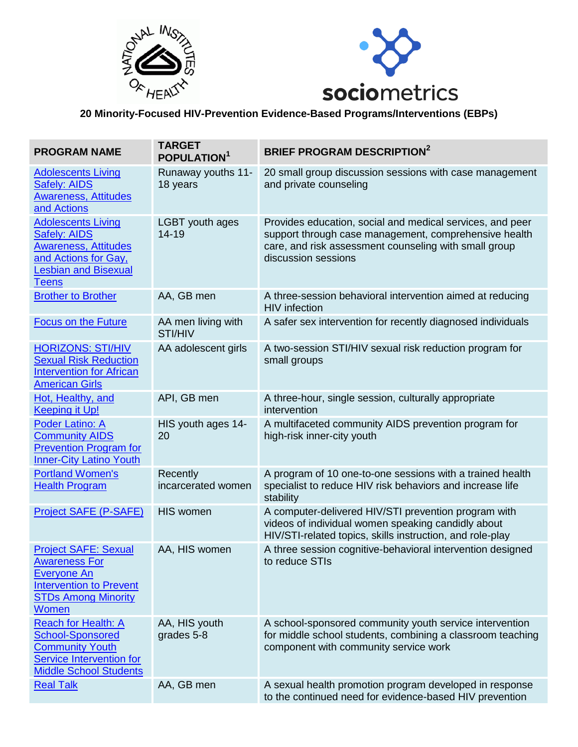



## **20 Minority-Focused HIV-Prevention Evidence-Based Programs/Interventions (EBPs)**

| <b>PROGRAM NAME</b>                                                                                                                                    | <b>TARGET</b><br><b>POPULATION</b> | <b>BRIEF PROGRAM DESCRIPTION<sup>2</sup></b>                                                                                                                                                       |
|--------------------------------------------------------------------------------------------------------------------------------------------------------|------------------------------------|----------------------------------------------------------------------------------------------------------------------------------------------------------------------------------------------------|
| <b>Adolescents Living</b><br><b>Safely: AIDS</b><br><b>Awareness, Attitudes</b><br>and Actions                                                         | Runaway youths 11-<br>18 years     | 20 small group discussion sessions with case management<br>and private counseling                                                                                                                  |
| <b>Adolescents Living</b><br><b>Safely: AIDS</b><br><b>Awareness, Attitudes</b><br>and Actions for Gay,<br><b>Lesbian and Bisexual</b><br><b>Teens</b> | LGBT youth ages<br>14-19           | Provides education, social and medical services, and peer<br>support through case management, comprehensive health<br>care, and risk assessment counseling with small group<br>discussion sessions |
| <b>Brother to Brother</b>                                                                                                                              | AA, GB men                         | A three-session behavioral intervention aimed at reducing<br><b>HIV</b> infection                                                                                                                  |
| <b>Focus on the Future</b>                                                                                                                             | AA men living with<br>STI/HIV      | A safer sex intervention for recently diagnosed individuals                                                                                                                                        |
| <b>HORIZONS: STI/HIV</b><br><b>Sexual Risk Reduction</b><br><b>Intervention for African</b><br><b>American Girls</b>                                   | AA adolescent girls                | A two-session STI/HIV sexual risk reduction program for<br>small groups                                                                                                                            |
| Hot, Healthy, and<br><b>Keeping it Up!</b>                                                                                                             | API, GB men                        | A three-hour, single session, culturally appropriate<br>intervention                                                                                                                               |
| <b>Poder Latino: A</b><br><b>Community AIDS</b><br><b>Prevention Program for</b><br><b>Inner-City Latino Youth</b>                                     | HIS youth ages 14-<br>20           | A multifaceted community AIDS prevention program for<br>high-risk inner-city youth                                                                                                                 |
| <b>Portland Women's</b><br><b>Health Program</b>                                                                                                       | Recently<br>incarcerated women     | A program of 10 one-to-one sessions with a trained health<br>specialist to reduce HIV risk behaviors and increase life<br>stability                                                                |
| Project SAFE (P-SAFE)                                                                                                                                  | <b>HIS women</b>                   | A computer-delivered HIV/STI prevention program with<br>videos of individual women speaking candidly about<br>HIV/STI-related topics, skills instruction, and role-play                            |
| <b>Project SAFE: Sexual</b><br><b>Awareness For</b><br><b>Everyone An</b><br><b>Intervention to Prevent</b><br><b>STDs Among Minority</b><br>Women     | AA, HIS women                      | A three session cognitive-behavioral intervention designed<br>to reduce STIs                                                                                                                       |
| <b>Reach for Health: A</b><br><b>School-Sponsored</b><br><b>Community Youth</b><br><b>Service Intervention for</b><br><b>Middle School Students</b>    | AA, HIS youth<br>grades 5-8        | A school-sponsored community youth service intervention<br>for middle school students, combining a classroom teaching<br>component with community service work                                     |
| <b>Real Talk</b>                                                                                                                                       | AA, GB men                         | A sexual health promotion program developed in response<br>to the continued need for evidence-based HIV prevention                                                                                 |